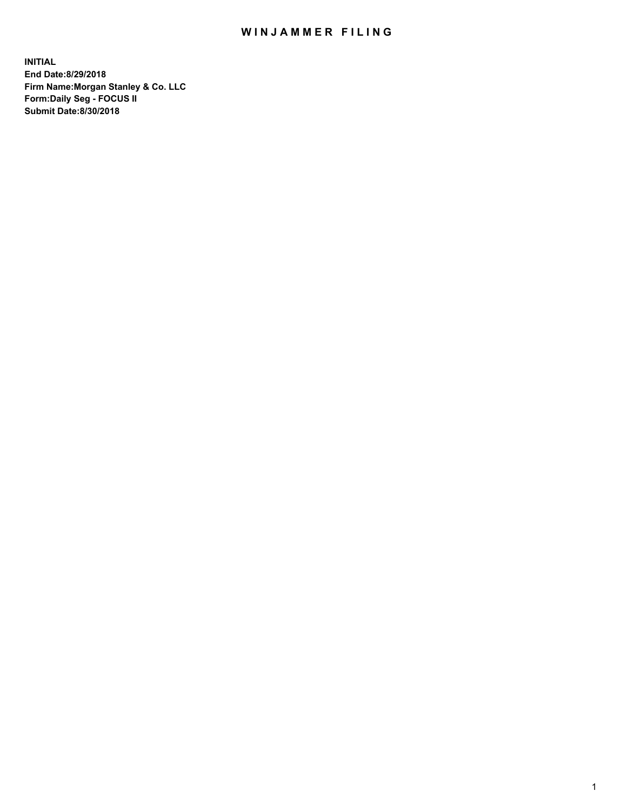## WIN JAMMER FILING

**INITIAL End Date:8/29/2018 Firm Name:Morgan Stanley & Co. LLC Form:Daily Seg - FOCUS II Submit Date:8/30/2018**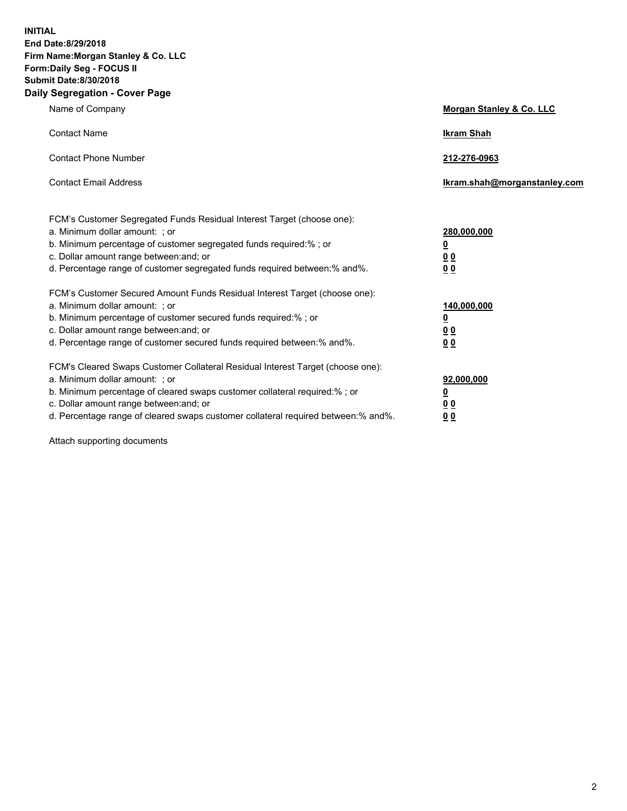**INITIAL End Date:8/29/2018 Firm Name:Morgan Stanley & Co. LLC Form:Daily Seg - FOCUS II Submit Date:8/30/2018 Daily Segregation - Cover Page**

| Name of Company                                                                   | Morgan Stanley & Co. LLC     |
|-----------------------------------------------------------------------------------|------------------------------|
| <b>Contact Name</b>                                                               | <b>Ikram Shah</b>            |
| <b>Contact Phone Number</b>                                                       | 212-276-0963                 |
| <b>Contact Email Address</b>                                                      | Ikram.shah@morganstanley.com |
| FCM's Customer Segregated Funds Residual Interest Target (choose one):            |                              |
| a. Minimum dollar amount: ; or                                                    | 280,000,000                  |
| b. Minimum percentage of customer segregated funds required:% ; or                | <u>0</u>                     |
| c. Dollar amount range between: and; or                                           | <u>0 0</u>                   |
| d. Percentage range of customer segregated funds required between: % and %.       | 0 Q                          |
| FCM's Customer Secured Amount Funds Residual Interest Target (choose one):        |                              |
| a. Minimum dollar amount: ; or                                                    | 140,000,000                  |
| b. Minimum percentage of customer secured funds required:%; or                    | <u>0</u>                     |
| c. Dollar amount range between: and; or                                           | 0 <sub>0</sub>               |
| d. Percentage range of customer secured funds required between:% and%.            | 0 <sub>0</sub>               |
| FCM's Cleared Swaps Customer Collateral Residual Interest Target (choose one):    |                              |
| a. Minimum dollar amount: ; or                                                    | 92,000,000                   |
| b. Minimum percentage of cleared swaps customer collateral required:% ; or        | <u>0</u>                     |
| c. Dollar amount range between: and; or                                           | 0 Q                          |
| d. Percentage range of cleared swaps customer collateral required between:% and%. | 00                           |

Attach supporting documents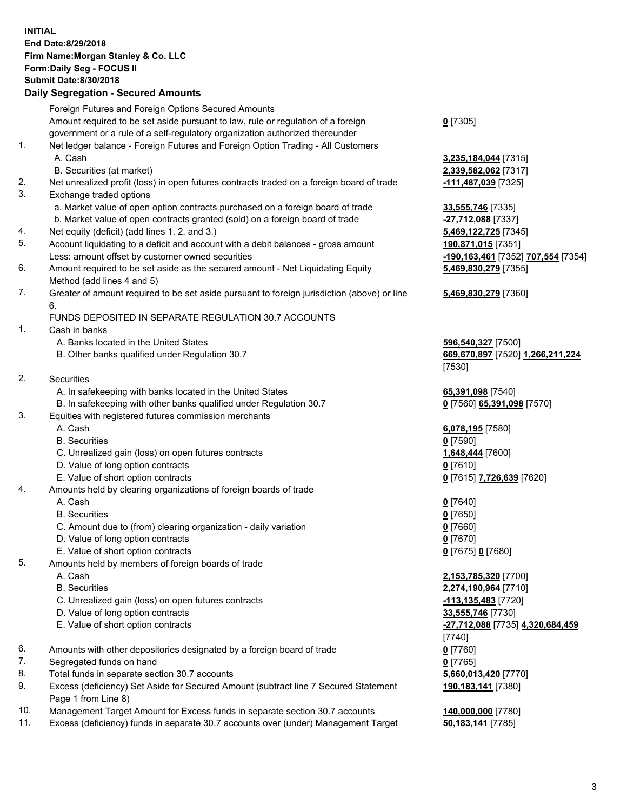## **INITIAL End Date:8/29/2018 Firm Name:Morgan Stanley & Co. LLC Form:Daily Seg - FOCUS II Submit Date:8/30/2018**

## **Daily Segregation - Secured Amounts**

|    | Foreign Futures and Foreign Options Secured Amounts                                         |                              |
|----|---------------------------------------------------------------------------------------------|------------------------------|
|    | Amount required to be set aside pursuant to law, rule or regulation of a foreign            | $0$ [7305]                   |
|    | government or a rule of a self-regulatory organization authorized thereunder                |                              |
| 1. | Net ledger balance - Foreign Futures and Foreign Option Trading - All Customers             |                              |
|    | A. Cash                                                                                     | 3,235,184,044 [7315]         |
|    | B. Securities (at market)                                                                   | 2,339,582,062 [7317]         |
| 2. | Net unrealized profit (loss) in open futures contracts traded on a foreign board of trade   | <u>-111,487,039</u> [7325]   |
| 3. | Exchange traded options                                                                     |                              |
|    | a. Market value of open option contracts purchased on a foreign board of trade              | 33,555,746 [7335]            |
|    | b. Market value of open contracts granted (sold) on a foreign board of trade                | $-27,712,088$ [7337]         |
| 4. | Net equity (deficit) (add lines 1.2. and 3.)                                                | 5,469,122,725 [7345]         |
| 5. | Account liquidating to a deficit and account with a debit balances - gross amount           | 190,871,015 [7351]           |
|    | Less: amount offset by customer owned securities                                            | 190, 163, 461 [7352]         |
| 6. | Amount required to be set aside as the secured amount - Net Liquidating Equity              | 5,469,830,279 [7355]         |
|    | Method (add lines 4 and 5)                                                                  |                              |
| 7. | Greater of amount required to be set aside pursuant to foreign jurisdiction (above) or line | 5,469,830,279 [7360]         |
|    | 6.                                                                                          |                              |
|    | FUNDS DEPOSITED IN SEPARATE REGULATION 30.7 ACCOUNTS                                        |                              |
| 1. | Cash in banks                                                                               |                              |
|    | A. Banks located in the United States                                                       | 596,540,327 [7500]           |
|    | B. Other banks qualified under Regulation 30.7                                              | 669,670,897 [7520] 1         |
|    |                                                                                             | [7530]                       |
| 2. | Securities                                                                                  |                              |
|    | A. In safekeeping with banks located in the United States                                   | 65,391,098 [7540]            |
|    | B. In safekeeping with other banks qualified under Regulation 30.7                          | 0 [7560] 65,391,098 [        |
| 3. | Equities with registered futures commission merchants                                       |                              |
|    | A. Cash                                                                                     | 6,078,195 [7580]             |
|    | <b>B.</b> Securities                                                                        | $0$ [7590]                   |
|    | C. Unrealized gain (loss) on open futures contracts                                         | 1,648,444 [7600]             |
|    | D. Value of long option contracts                                                           | $0$ [7610]                   |
|    | E. Value of short option contracts                                                          | 0 [7615] 7,726,639 [7        |
| 4. | Amounts held by clearing organizations of foreign boards of trade                           |                              |
|    | A. Cash                                                                                     | $0$ [7640]                   |
|    | <b>B.</b> Securities                                                                        | $0$ [7650]                   |
|    | C. Amount due to (from) clearing organization - daily variation                             | $0$ [7660]                   |
|    | D. Value of long option contracts                                                           | $0$ [7670]                   |
|    | E. Value of short option contracts                                                          | 0 [7675] 0 [7680]            |
| 5. | Amounts held by members of foreign boards of trade                                          |                              |
|    | A. Cash                                                                                     | 2,153,785,320 [7700]         |
|    | <b>B.</b> Securities                                                                        | 2,274,190,964 [7710]         |
|    | C. Unrealized gain (loss) on open futures contracts                                         | -113,135,483 [7720]          |
|    | D. Value of long option contracts                                                           | 33,555,746 [7730]            |
|    | E. Value of short option contracts                                                          | <u>-27,712,088</u> [7735] 4, |
|    |                                                                                             | $[7740]$                     |
| 6. | Amounts with other depositories designated by a foreign board of trade                      | $0$ [7760]                   |
| 7. | Segregated funds on hand                                                                    | $0$ [7765]                   |
| 8. | Total funds in separate section 30.7 accounts                                               | 5,660,013,420 [7770]         |
| 9. | Excess (deficiency) Set Aside for Secured Amount (subtract line 7 Secured Statement         | 190,183,141 [7380]           |
|    | Page 1 from Line 8)                                                                         |                              |
|    |                                                                                             |                              |

- 10. Management Target Amount for Excess funds in separate section 30.7 accounts **140,000,000** [7780]
- 11. Excess (deficiency) funds in separate 30.7 accounts over (under) Management Target **50,183,141** [7785]

**82,062** [7317] 2. Net unrealized profits in open futures traditions and the set of the *17,039* [7325] <u>0.088</u> [7337] **22,725** [7345] Less: amount offset by customer owned securities **-190,163,461** [7352] **707,554** [7354] **5,469,830,279** [7355] **5,469,830,279** [7360]

**0,327** [7500] B. Other banks qualified under Regulation 30.7 **669,670,897** [7520] **1,266,211,224**

B. **65,391,098** [7570]

E. Value of short option contracts **0** [7615] **7,726,639** [7620]

 A. Cash **2,153,785,320** [7700] **90,964** [7710] **0. 13. Unrealized gain (loss)** stated game for the set of the set of the set of the set of the set of the set o E. Value of short option contracts **-27,712,088** [7735] **4,320,684,459** 8. 13,420 [7770] **190,183,141** [7380]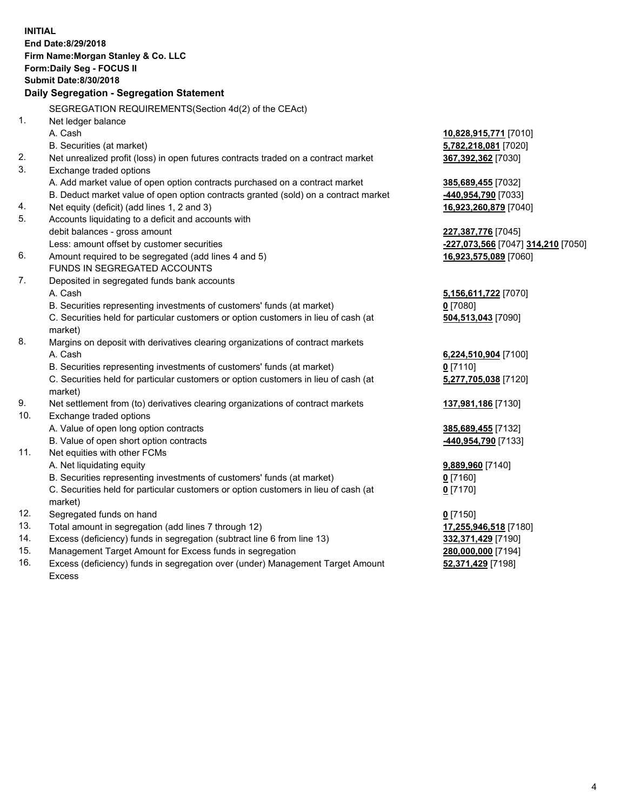|                | <b>INITIAL</b>                                                                                                                      |                                          |
|----------------|-------------------------------------------------------------------------------------------------------------------------------------|------------------------------------------|
|                | End Date: 8/29/2018                                                                                                                 |                                          |
|                | Firm Name: Morgan Stanley & Co. LLC                                                                                                 |                                          |
|                | Form: Daily Seg - FOCUS II                                                                                                          |                                          |
|                | <b>Submit Date: 8/30/2018</b>                                                                                                       |                                          |
|                | Daily Segregation - Segregation Statement                                                                                           |                                          |
|                | SEGREGATION REQUIREMENTS(Section 4d(2) of the CEAct)                                                                                |                                          |
| 1 <sub>1</sub> | Net ledger balance                                                                                                                  |                                          |
|                | A. Cash                                                                                                                             | 10,828,915,771 [7010]                    |
|                | B. Securities (at market)                                                                                                           | 5,782,218,081 [7020]                     |
| 2.             | Net unrealized profit (loss) in open futures contracts traded on a contract market                                                  | 367,392,362 [7030]                       |
| 3.             | Exchange traded options                                                                                                             |                                          |
|                | A. Add market value of open option contracts purchased on a contract market                                                         | 385,689,455 [7032]                       |
|                | B. Deduct market value of open option contracts granted (sold) on a contract market                                                 | -440,954,790 [7033]                      |
| 4.             | Net equity (deficit) (add lines 1, 2 and 3)                                                                                         | 16,923,260,879 [7040]                    |
| 5.             | Accounts liquidating to a deficit and accounts with                                                                                 |                                          |
|                | debit balances - gross amount                                                                                                       | 227,387,776 [7045]                       |
|                | Less: amount offset by customer securities                                                                                          | -227,073,566 [7047] 314,210 [7050]       |
| 6.             | Amount required to be segregated (add lines 4 and 5)                                                                                | 16,923,575,089 [7060]                    |
|                | FUNDS IN SEGREGATED ACCOUNTS                                                                                                        |                                          |
| 7.             | Deposited in segregated funds bank accounts                                                                                         |                                          |
|                | A. Cash                                                                                                                             | 5,156,611,722 [7070]                     |
|                | B. Securities representing investments of customers' funds (at market)                                                              | $0$ [7080]                               |
|                | C. Securities held for particular customers or option customers in lieu of cash (at                                                 | 504,513,043 [7090]                       |
|                | market)                                                                                                                             |                                          |
| 8.             | Margins on deposit with derivatives clearing organizations of contract markets                                                      |                                          |
|                | A. Cash                                                                                                                             | 6,224,510,904 [7100]                     |
|                | B. Securities representing investments of customers' funds (at market)                                                              | $0$ [7110]                               |
|                | C. Securities held for particular customers or option customers in lieu of cash (at                                                 | 5,277,705,038 [7120]                     |
|                | market)                                                                                                                             |                                          |
| 9.             | Net settlement from (to) derivatives clearing organizations of contract markets                                                     | 137,981,186 [7130]                       |
| 10.            | Exchange traded options                                                                                                             |                                          |
|                | A. Value of open long option contracts                                                                                              | 385,689,455 [7132]                       |
|                | B. Value of open short option contracts                                                                                             | 440,954,790 [7133]                       |
| 11.            | Net equities with other FCMs                                                                                                        |                                          |
|                | A. Net liquidating equity                                                                                                           | 9,889,960 [7140]                         |
|                | B. Securities representing investments of customers' funds (at market)                                                              | $0$ [7160]                               |
|                | C. Securities held for particular customers or option customers in lieu of cash (at                                                 | $0$ [7170]                               |
|                | market)                                                                                                                             |                                          |
| 12.            | Segregated funds on hand                                                                                                            | $0$ [7150]                               |
| 13.            | Total amount in segregation (add lines 7 through 12)                                                                                | 17,255,946,518 [7180]                    |
| 14.<br>15.     | Excess (deficiency) funds in segregation (subtract line 6 from line 13)<br>Management Target Amount for Excess funds in segregation | 332,371,429 [7190]<br>280,000,000 [7194] |
| 16.            | Excess (deficiency) funds in segregation over (under) Management Target Amount                                                      |                                          |
|                |                                                                                                                                     | 52,371,429 [7198]                        |

Excess